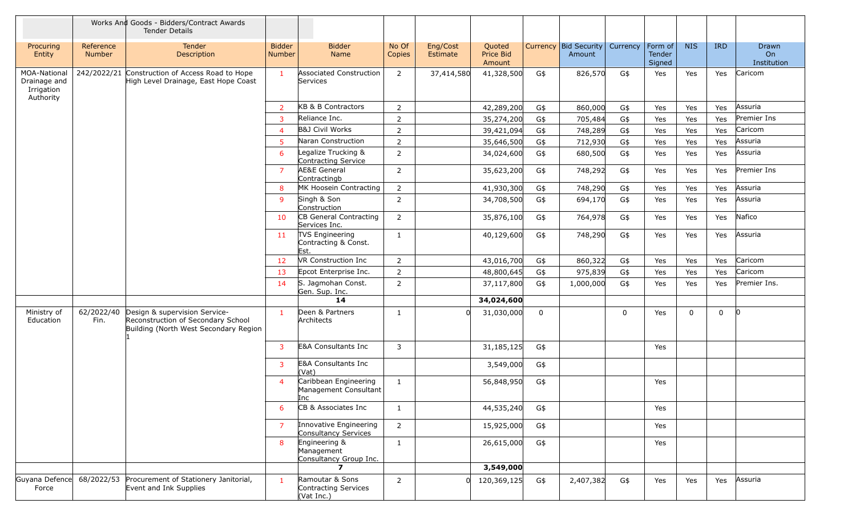|                                                         |                     | Works And Goods - Bidders/Contract Awards<br><b>Tender Details</b>                                           |                         |                                                       |                 |                      |                               |             |                                          |     |                             |            |             |                            |
|---------------------------------------------------------|---------------------|--------------------------------------------------------------------------------------------------------------|-------------------------|-------------------------------------------------------|-----------------|----------------------|-------------------------------|-------------|------------------------------------------|-----|-----------------------------|------------|-------------|----------------------------|
| Procuring<br>Entity                                     | Reference<br>Number | Tender<br>Description                                                                                        | <b>Bidder</b><br>Number | <b>Bidder</b><br>Name                                 | No Of<br>Copies | Eng/Cost<br>Estimate | Quoted<br>Price Bid<br>Amount |             | Currency Bid Security Currency<br>Amount |     | Form of<br>Tender<br>Signed | <b>NIS</b> | <b>IRD</b>  | Drawn<br>On<br>Institution |
| MOA-National<br>Drainage and<br>Irrigation<br>Authority | 242/2022/21         | Construction of Access Road to Hope<br>High Level Drainage, East Hope Coast                                  | $\mathbf{1}$            | <b>Associated Construction</b><br>Services            | 2               | 37,414,580           | 41,328,500                    | G\$         | 826,570                                  | G\$ | Yes                         | Yes        | Yes         | Caricom                    |
|                                                         |                     |                                                                                                              | $\overline{2}$          | KB & B Contractors                                    | $\overline{2}$  |                      | 42,289,200                    | G\$         | 860,000                                  | G\$ | Yes                         | Yes        | Yes         | Assuria                    |
|                                                         |                     |                                                                                                              | 3                       | Reliance Inc.                                         | $\overline{2}$  |                      | 35,274,200                    | G\$         | 705,484                                  | G\$ | Yes                         | Yes        | Yes         | Premier Ins                |
|                                                         |                     |                                                                                                              | $\overline{4}$          | B&J Civil Works                                       | $\overline{2}$  |                      | 39,421,094                    | G\$         | 748,289                                  | G\$ | Yes                         | Yes        | Yes         | Caricom                    |
|                                                         |                     |                                                                                                              | 5                       | Naran Construction                                    | $\overline{2}$  |                      | 35,646,500                    | G\$         | 712,930                                  | G\$ | Yes                         | Yes        | Yes         | Assuria                    |
|                                                         |                     |                                                                                                              | 6                       | Legalize Trucking &<br>Contracting Service            | $\overline{2}$  |                      | 34,024,600                    | G\$         | 680,500                                  | G\$ | Yes                         | Yes        | Yes         | Assuria                    |
|                                                         |                     |                                                                                                              | $\overline{7}$          | <b>AE&amp;E General</b><br>Contractingb               | $\overline{2}$  |                      | 35,623,200                    | G\$         | 748,292                                  | G\$ | Yes                         | Yes        | Yes         | Premier Ins                |
|                                                         |                     |                                                                                                              | 8                       | MK Hoosein Contracting                                | $\overline{2}$  |                      | 41,930,300                    | G\$         | 748,290                                  | G\$ | Yes                         | Yes        | Yes         | Assuria                    |
|                                                         |                     |                                                                                                              | 9                       | Singh & Son<br>Construction                           | $\overline{2}$  |                      | 34,708,500                    | G\$         | 694,170                                  | G\$ | Yes                         | Yes        | Yes         | Assuria                    |
|                                                         |                     |                                                                                                              | 10                      | CB General Contracting<br>Services Inc.               | $\overline{2}$  |                      | 35,876,100                    | G\$         | 764,978                                  | G\$ | Yes                         | Yes        | Yes         | Nafico                     |
|                                                         |                     |                                                                                                              | 11                      | TVS Engineering<br>Contracting & Const.<br>Est.       | $\mathbf{1}$    |                      | 40,129,600                    | G\$         | 748,290                                  | G\$ | Yes                         | Yes        | Yes         | Assuria                    |
|                                                         |                     |                                                                                                              | 12                      | VR Construction Inc                                   | $\overline{2}$  |                      | 43,016,700                    | G\$         | 860,322                                  | G\$ | Yes                         | Yes        | Yes         | Caricom                    |
|                                                         |                     |                                                                                                              | 13                      | Epcot Enterprise Inc.                                 | $\overline{2}$  |                      | 48,800,645                    | G\$         | 975,839                                  | G\$ | Yes                         | Yes        | Yes         | Caricom                    |
|                                                         |                     |                                                                                                              | 14                      | S. Jagmohan Const.<br>Gen. Sup. Inc.                  | $\overline{2}$  |                      | 37,117,800                    | G\$         | 1,000,000                                | G\$ | Yes                         | Yes        | Yes         | Premier Ins.               |
|                                                         |                     |                                                                                                              |                         | 14                                                    |                 |                      | 34,024,600                    |             |                                          |     |                             |            |             |                            |
| Ministry of<br>Education                                | 62/2022/40<br>Fin.  | Design & supervision Service-<br>Reconstruction of Secondary School<br>Building (North West Secondary Region | $\mathbf{1}$            | Deen & Partners<br>Architects                         | -1              | $\cap$               | 31,030,000                    | $\mathbf 0$ |                                          | 0   | Yes                         | 0          | $\mathbf 0$ | 10                         |
|                                                         |                     |                                                                                                              | 3                       | E&A Consultants Inc                                   | $\mathbf{3}$    |                      | 31,185,125                    | G\$         |                                          |     | Yes                         |            |             |                            |
|                                                         |                     |                                                                                                              | 3                       | E&A Consultants Inc<br>(Vat)                          |                 |                      | 3,549,000                     | G\$         |                                          |     |                             |            |             |                            |
|                                                         |                     |                                                                                                              | $\overline{4}$          | Caribbean Engineering<br>Management Consultant<br>Inc | $\mathbf{1}$    |                      | 56,848,950                    | G\$         |                                          |     | Yes                         |            |             |                            |
|                                                         |                     |                                                                                                              | 6                       | CB & Associates Inc                                   | $\mathbf{1}$    |                      | 44,535,240                    | G\$         |                                          |     | Yes                         |            |             |                            |
|                                                         |                     |                                                                                                              | $\overline{7}$          | Innovative Engineering<br>Consultancy Services        | $\overline{2}$  |                      | 15,925,000                    | G\$         |                                          |     | Yes                         |            |             |                            |
|                                                         |                     |                                                                                                              | 8                       | Engineering &<br>Management<br>Consultancy Group Inc. | $\mathbf{1}$    |                      | 26,615,000                    | G\$         |                                          |     | Yes                         |            |             |                            |
|                                                         |                     |                                                                                                              |                         | $\boldsymbol{7}$                                      |                 |                      | 3,549,000                     |             |                                          |     |                             |            |             |                            |
| Guyana Defence<br>Force                                 | 68/2022/53          | Procurement of Stationery Janitorial,<br>Event and Ink Supplies                                              | $\mathbf{1}$            | Ramoutar & Sons<br>Contracting Services<br>(Vat Inc.) | $\overline{2}$  | $\Omega$             | 120,369,125                   | G\$         | 2,407,382                                | G\$ | Yes                         | Yes        | Yes         | Assuria                    |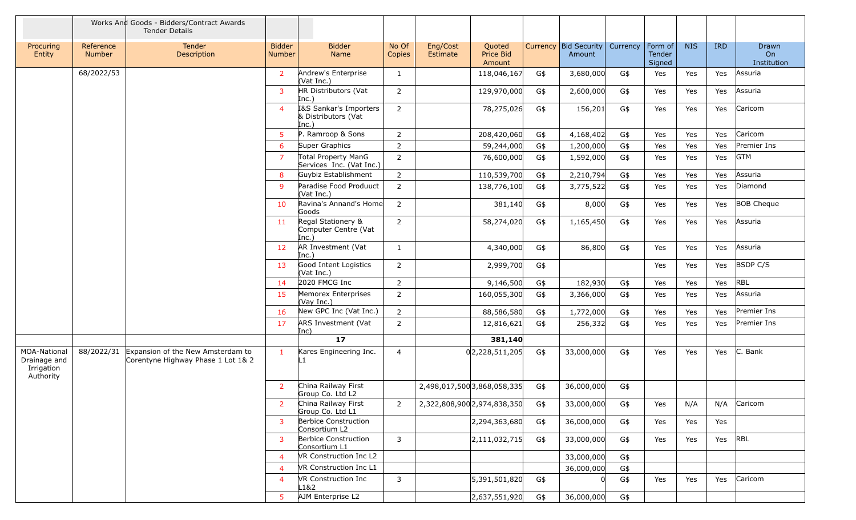|                                                         |                     | Works And Goods - Bidders/Contract Awards<br><b>Tender Details</b>      |                         |                                                        |                         |                      |                               |        |                                              |     |                             |            |            |                                   |
|---------------------------------------------------------|---------------------|-------------------------------------------------------------------------|-------------------------|--------------------------------------------------------|-------------------------|----------------------|-------------------------------|--------|----------------------------------------------|-----|-----------------------------|------------|------------|-----------------------------------|
| Procuring<br>Entity                                     | Reference<br>Number | <b>Tender</b><br>Description                                            | <b>Bidder</b><br>Number | <b>Bidder</b><br>Name                                  | No Of<br>Copies         | Eng/Cost<br>Estimate | Quoted<br>Price Bid<br>Amount |        | Currency   Bid Security   Currency<br>Amount |     | Form of<br>Tender<br>Signed | <b>NIS</b> | <b>IRD</b> | <b>Drawn</b><br>On<br>Institution |
|                                                         | 68/2022/53          |                                                                         | $\overline{2}$          | Andrew's Enterprise<br>(Vat Inc.)                      | 1                       |                      | 118,046,167                   | G\$    | 3,680,000                                    | G\$ | Yes                         | Yes        | Yes        | Assuria                           |
|                                                         |                     |                                                                         | 3                       | HR Distributors (Vat<br>Inc.)                          | $\overline{2}$          |                      | 129,970,000                   | G\$    | 2,600,000                                    | G\$ | Yes                         | Yes        | Yes        | Assuria                           |
|                                                         |                     |                                                                         | $\overline{4}$          | I&S Sankar's Importers<br>& Distributors (Vat<br>Inc.) | $\overline{2}$          |                      | 78,275,026                    | G\$    | 156,201                                      | G\$ | Yes                         | Yes        | Yes        | Caricom                           |
|                                                         |                     |                                                                         | 5 <sup>1</sup>          | P. Ramroop & Sons                                      | $\overline{2}$          |                      | 208,420,060                   | $G$ \$ | 4,168,402                                    | G\$ | Yes                         | Yes        | Yes        | Caricom                           |
|                                                         |                     |                                                                         | 6                       | Super Graphics                                         | $\overline{2}$          |                      | 59,244,000                    | G\$    | 1,200,000                                    | G\$ | Yes                         | Yes        | Yes        | Premier Ins                       |
|                                                         |                     |                                                                         | 7                       | Total Property ManG<br>Services Inc. (Vat Inc.)        | $\overline{2}$          |                      | 76,600,000                    | G\$    | 1,592,000                                    | G\$ | Yes                         | Yes        | Yes        | <b>GTM</b>                        |
|                                                         |                     |                                                                         | 8                       | Guybiz Establishment                                   | $\overline{2}$          |                      | 110,539,700                   | G\$    | 2,210,794                                    | G\$ | Yes                         | Yes        | Yes        | Assuria                           |
|                                                         |                     |                                                                         | 9                       | Paradise Food Produuct<br>(Vat Inc.)                   | $\overline{2}$          |                      | 138,776,100                   | G\$    | 3,775,522                                    | G\$ | Yes                         | Yes        | Yes        | Diamond                           |
|                                                         |                     |                                                                         | 10                      | Ravina's Annand's Home<br>Goods                        | $\overline{2}$          |                      | 381,140                       | G\$    | 8,000                                        | G\$ | Yes                         | Yes        | Yes        | <b>BOB Cheque</b>                 |
|                                                         |                     |                                                                         | 11                      | Regal Stationery &<br>Computer Centre (Vat<br>Inc.)    | $\overline{2}$          |                      | 58,274,020                    | G\$    | 1,165,450                                    | G\$ | Yes                         | Yes        | Yes        | Assuria                           |
|                                                         |                     |                                                                         | 12                      | AR Investment (Vat<br>Inc.)                            | 1                       |                      | 4,340,000                     | G\$    | 86,800                                       | G\$ | Yes                         | Yes        | Yes        | Assuria                           |
|                                                         |                     |                                                                         | 13                      | Good Intent Logistics<br>(Vat Inc.)                    | $\overline{2}$          |                      | 2,999,700                     | G\$    |                                              |     | Yes                         | Yes        | Yes        | <b>BSDP C/S</b>                   |
|                                                         |                     |                                                                         | 14                      | 2020 FMCG Inc                                          | $\overline{2}$          |                      | 9,146,500                     | G\$    | 182,930                                      | G\$ | Yes                         | Yes        | Yes        | <b>RBL</b>                        |
|                                                         |                     |                                                                         | 15                      | Memorex Enterprises<br>(Vay Inc.)                      | $\overline{2}$          |                      | 160,055,300                   | G\$    | 3,366,000                                    | G\$ | Yes                         | Yes        | Yes        | Assuria                           |
|                                                         |                     |                                                                         | 16                      | New GPC Inc (Vat Inc.)                                 | $\overline{2}$          |                      | 88,586,580                    | G\$    | 1,772,000                                    | G\$ | Yes                         | Yes        | Yes        | Premier Ins                       |
|                                                         |                     |                                                                         | 17                      | ARS Investment (Vat<br>Inc)                            | 2                       |                      | 12,816,621                    | G\$    | 256,332                                      | G\$ | Yes                         | Yes        | Yes        | Premier Ins                       |
|                                                         |                     |                                                                         |                         | $\overline{17}$                                        |                         |                      | 381,140                       |        |                                              |     |                             |            |            |                                   |
| MOA-National<br>Drainage and<br>Irrigation<br>Authority | 88/2022/31          | Expansion of the New Amsterdam to<br>Corentyne Highway Phase 1 Lot 1& 2 | 1                       | Kares Engineering Inc.<br>L1                           | $\overline{4}$          |                      | 0 2,228,511,205               | G\$    | 33,000,000                                   | G\$ | Yes                         | Yes        | Yes        | C. Bank                           |
|                                                         |                     |                                                                         | 2                       | China Railway First<br>Group Co. Ltd L2                |                         |                      | 2,498,017,500 3,868,058,335   | G\$    | 36,000,000                                   | G\$ |                             |            |            |                                   |
|                                                         |                     |                                                                         | $\overline{2}$          | China Railway First<br>Group Co. Ltd L1                | $\overline{2}$          |                      | 2,322,808,900 2,974,838,350   | G\$    | 33,000,000                                   | G\$ | Yes                         | N/A        | N/A        | Caricom                           |
|                                                         |                     |                                                                         | 3                       | Berbice Construction<br>Consortium L2                  |                         |                      | 2,294,363,680                 | G\$    | 36,000,000                                   | G\$ | Yes                         | Yes        | Yes        |                                   |
|                                                         |                     |                                                                         | $\mathbf{3}$            | Berbice Construction<br>Consortium L1                  | $\mathbf{3}$            |                      | 2,111,032,715                 | G\$    | 33,000,000                                   | G\$ | Yes                         | Yes        | Yes        | RBL                               |
|                                                         |                     |                                                                         | $\overline{4}$          | VR Construction Inc L2                                 |                         |                      |                               |        | 33,000,000                                   | G\$ |                             |            |            |                                   |
|                                                         |                     |                                                                         | $\overline{4}$          | VR Construction Inc L1                                 |                         |                      |                               |        | 36,000,000                                   | G\$ |                             |            |            |                                   |
|                                                         |                     |                                                                         | $\overline{4}$          | VR Construction Inc<br>L1&2                            | $\overline{\mathbf{3}}$ |                      | 5,391,501,820                 | G\$    |                                              | G\$ | Yes                         | Yes        | Yes        | Caricom                           |
|                                                         |                     |                                                                         | 5 <sup>1</sup>          | AJM Enterprise L2                                      |                         |                      | 2,637,551,920                 | G\$    | 36,000,000                                   | G\$ |                             |            |            |                                   |